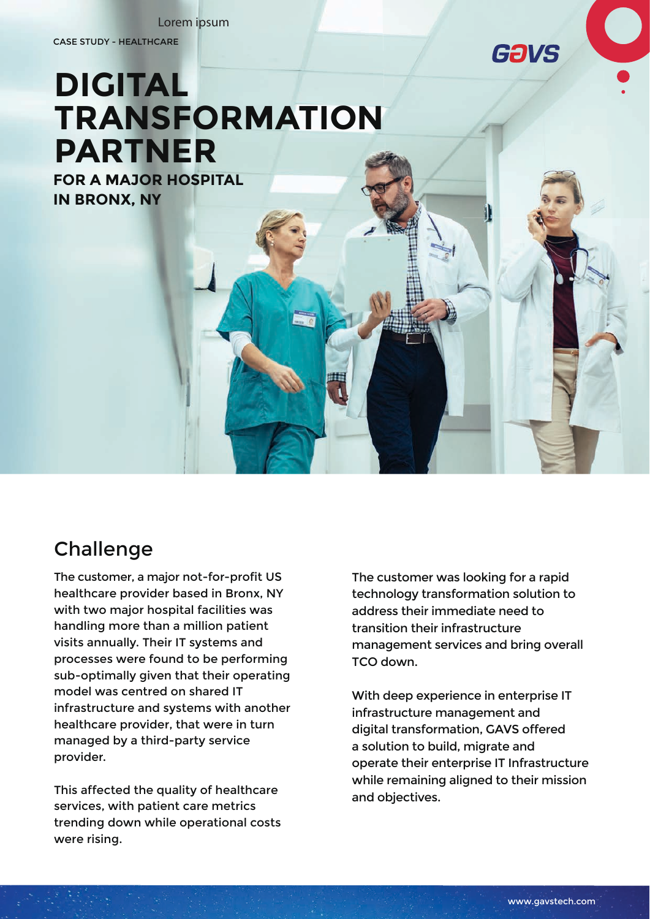Lorem ipsum

CASE STUDY - HEALTHCARE



# **DIGITAL TRANSFORMATION PARTNER**

**FOR A MAJOR HOSPITAL IN BRONX, NY**

## **Challenge**

The customer, a major not-for-profit US healthcare provider based in Bronx, NY with two major hospital facilities was handling more than a million patient visits annually. Their IT systems and processes were found to be performing sub-optimally given that their operating model was centred on shared IT infrastructure and systems with another healthcare provider, that were in turn managed by a third-party service provider.

This affected the quality of healthcare services, with patient care metrics trending down while operational costs were rising.

The customer was looking for a rapid technology transformation solution to address their immediate need to transition their infrastructure management services and bring overall TCO down.

With deep experience in enterprise IT infrastructure management and digital transformation, GAVS offered a solution to build, migrate and operate their enterprise IT Infrastructure while remaining aligned to their mission and objectives.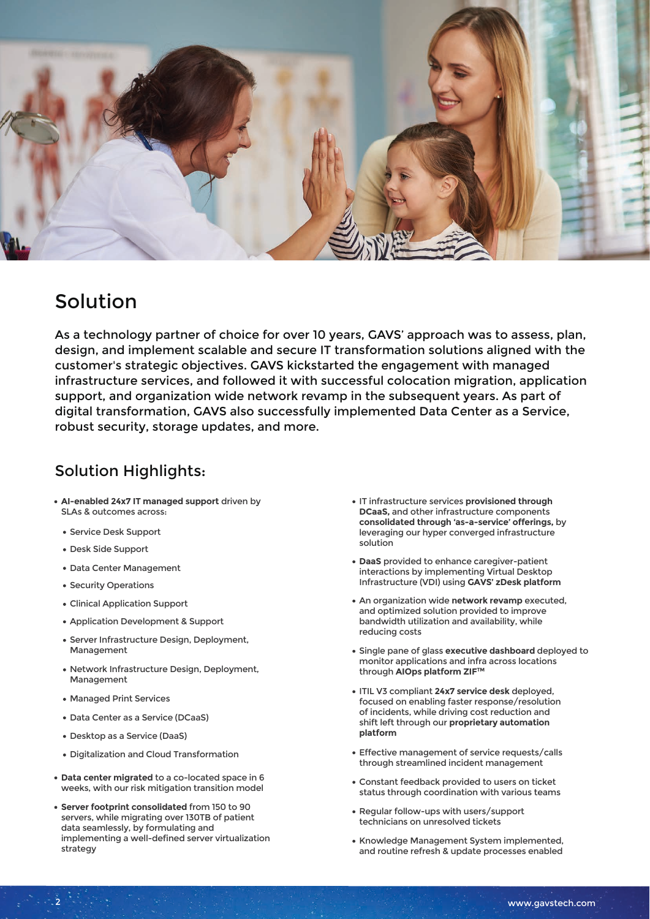

### Solution

As a technology partner of choice for over 10 years, GAVS' approach was to assess, plan, design, and implement scalable and secure IT transformation solutions aligned with the customer's strategic objectives. GAVS kickstarted the engagement with managed infrastructure services, and followed it with successful colocation migration, application support, and organization wide network revamp in the subsequent years. As part of digital transformation, GAVS also successfully implemented Data Center as a Service, robust security, storage updates, and more.

#### Solution Highlights:

- **AI-enabled 24x7 IT managed support** driven by SLAs & outcomes across:
	- Service Desk Support
	- Desk Side Support
	- Data Center Management
	- Security Operations
	- Clinical Application Support
	- Application Development & Support
	- **Server Infrastructure Design, Deployment,** Management
	- Network Infrastructure Design, Deployment, Management
	- Managed Print Services

2

- Data Center as a Service (DCaaS)
- Desktop as a Service (DaaS)
- Digitalization and Cloud Transformation
- **Data center migrated** to a co-located space in 6 weeks, with our risk mitigation transition model
- **Server footprint consolidated** from 150 to 90 servers, while migrating over 130TB of patient data seamlessly, by formulating and implementing a well-defined server virtualization strategy
- IT infrastructure services **provisioned through DCaaS,** and other infrastructure components **consolidated through 'as-a-service' offerings,** by leveraging our hyper converged infrastructure solution
- **DaaS** provided to enhance caregiver-patient interactions by implementing Virtual Desktop Infrastructure (VDI) using **GAVS' zDesk platform**
- An organization wide **network revamp** executed, and optimized solution provided to improve bandwidth utilization and availability, while reducing costs
- Single pane of glass **executive dashboard** deployed to monitor applications and infra across locations through **AIOps platform ZIFTM**
- ITIL V3 compliant **24x7 service desk** deployed, focused on enabling faster response/resolution of incidents, while driving cost reduction and shift left through our **proprietary automation platform**
- Effective management of service requests/calls through streamlined incident management
- Constant feedback provided to users on ticket status through coordination with various teams
- Regular follow-ups with users/support technicians on unresolved tickets
- Knowledge Management System implemented, and routine refresh & update processes enabled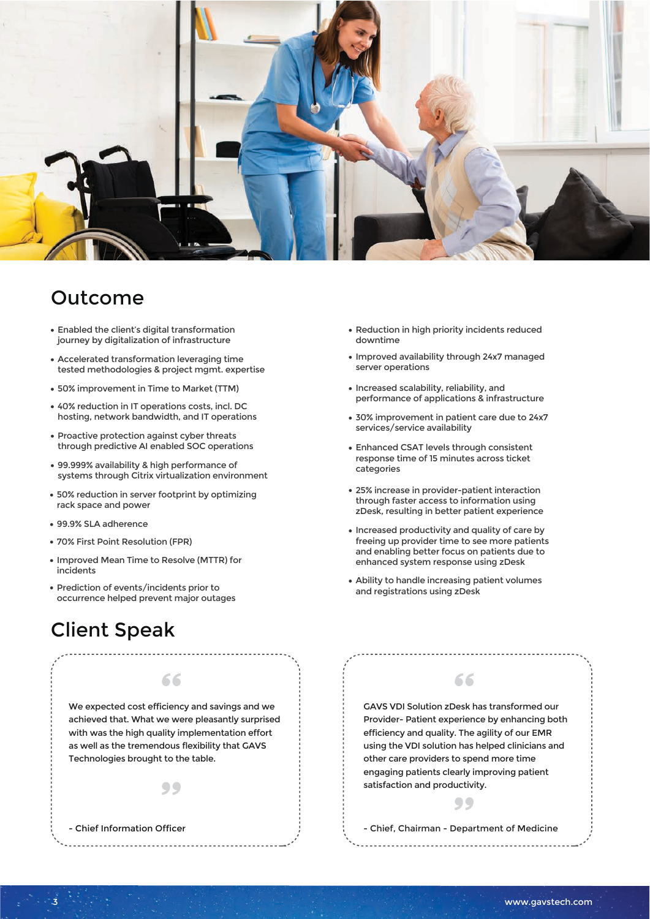

#### Outcome

- Enabled the client's digital transformation journey by digitalization of infrastructure
- Accelerated transformation leveraging time tested methodologies & project mgmt. expertise
- 50% improvement in Time to Market (TTM)
- 40% reduction in IT operations costs, incl. DC hosting, network bandwidth, and IT operations
- Proactive protection against cyber threats through predictive AI enabled SOC operations
- 99.999% availability & high performance of systems through Citrix virtualization environment
- 50% reduction in server footprint by optimizing rack space and power
- 99.9% SLA adherence
- 70% First Point Resolution (FPR)
- Improved Mean Time to Resolve (MTTR) for incidents
- Prediction of events/incidents prior to occurrence helped prevent major outages

## Client Speak

- Chief Information Officer



 $\bullet\bullet$ 

66

- Reduction in high priority incidents reduced downtime
- Improved availability through 24x7 managed server operations
- Increased scalability, reliability, and performance of applications & infrastructure
- 30% improvement in patient care due to 24x7 services/service availability
- Enhanced CSAT levels through consistent response time of 15 minutes across ticket categories
- 25% increase in provider-patient interaction through faster access to information using zDesk, resulting in better patient experience
- Increased productivity and quality of care by freeing up provider time to see more patients and enabling better focus on patients due to enhanced system response using zDesk
- Ability to handle increasing patient volumes and registrations using zDesk

GAVS VDI Solution zDesk has transformed our Provider- Patient experience by enhancing both efficiency and quality. The agility of our EMR using the VDI solution has helped clinicians and other care providers to spend more time engaging patients clearly improving patient satisfaction and productivity.

66

- Chief, Chairman - Department of Medicine

99

www.gavstech.com